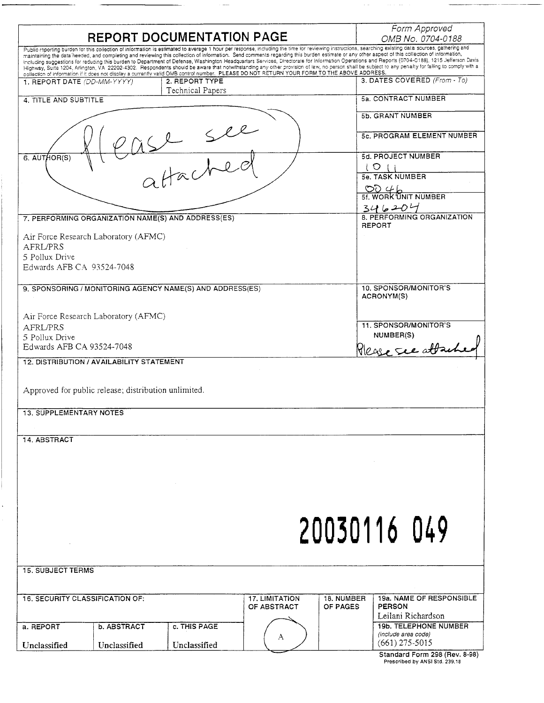|                                                                                                                                                                                                                                                                                                                                                                                                                                                                                                                                                                                                                                                                                                                                                                                                                                                                                                                                                                | Form Approved                                                                      |
|----------------------------------------------------------------------------------------------------------------------------------------------------------------------------------------------------------------------------------------------------------------------------------------------------------------------------------------------------------------------------------------------------------------------------------------------------------------------------------------------------------------------------------------------------------------------------------------------------------------------------------------------------------------------------------------------------------------------------------------------------------------------------------------------------------------------------------------------------------------------------------------------------------------------------------------------------------------|------------------------------------------------------------------------------------|
| REPORT DOCUMENTATION PAGE                                                                                                                                                                                                                                                                                                                                                                                                                                                                                                                                                                                                                                                                                                                                                                                                                                                                                                                                      | OMB No. 0704-0188                                                                  |
| Public reporting burden for this collection of information is estimated to average 1 hour per response, including the time for reviewing instructions, searching existing data sources, gathering and<br>maintaining the data needed, and completing and reviewing this collection of information. Send comments regarding this burden estimate or any other aspect of this collection of information,<br>including suggestions for reducing this burden to Department of Defense, Washington Headquarters Services, Directorate for Information Operations and Reports (0704-0188), 1215 Jefferson Davis<br>Highway, Suite 1204, Arlington, VA 22202-4302. Respondents should be aware that notwithstanding any other provision of law, no person shall be subject to any penalty for failing to comply with a<br>collection of information if it does not display a currently valid OMB control number. PLEASE DO NOT RETURN YOUR FORM TO THE ABOVE ADDRESS. |                                                                                    |
| 2. REPORT TYPE<br>1. REPORT DATE (DD-MM-YYYY)<br>Technical Papers                                                                                                                                                                                                                                                                                                                                                                                                                                                                                                                                                                                                                                                                                                                                                                                                                                                                                              | 3. DATES COVERED (From - To)                                                       |
| 4. TITLE AND SUBTITLE                                                                                                                                                                                                                                                                                                                                                                                                                                                                                                                                                                                                                                                                                                                                                                                                                                                                                                                                          | 5a. CONTRACT NUMBER                                                                |
|                                                                                                                                                                                                                                                                                                                                                                                                                                                                                                                                                                                                                                                                                                                                                                                                                                                                                                                                                                | 5b. GRANT NUMBER                                                                   |
| Sll.                                                                                                                                                                                                                                                                                                                                                                                                                                                                                                                                                                                                                                                                                                                                                                                                                                                                                                                                                           | 5c. PROGRAM ELEMENT NUMBER                                                         |
| 6. AUTHOR(S)                                                                                                                                                                                                                                                                                                                                                                                                                                                                                                                                                                                                                                                                                                                                                                                                                                                                                                                                                   | 5d. PROJECT NUMBER<br>$\circ$                                                      |
| Hache                                                                                                                                                                                                                                                                                                                                                                                                                                                                                                                                                                                                                                                                                                                                                                                                                                                                                                                                                          | 5e. TASK NUMBER                                                                    |
|                                                                                                                                                                                                                                                                                                                                                                                                                                                                                                                                                                                                                                                                                                                                                                                                                                                                                                                                                                | $\underbrace{\bigcirc} \bigcirc \nsubseteq \bigcup_{\text{5f. WORK 'UNIT NUMBER}}$ |
| 7. PERFORMING ORGANIZATION NAME(S) AND ADDRESS(ES)                                                                                                                                                                                                                                                                                                                                                                                                                                                                                                                                                                                                                                                                                                                                                                                                                                                                                                             | $346204$<br>8. PERFORMING ORGANIZATION                                             |
|                                                                                                                                                                                                                                                                                                                                                                                                                                                                                                                                                                                                                                                                                                                                                                                                                                                                                                                                                                | REPORT                                                                             |
| Air Force Research Laboratory (AFMC)<br>AFRL/PRS                                                                                                                                                                                                                                                                                                                                                                                                                                                                                                                                                                                                                                                                                                                                                                                                                                                                                                               |                                                                                    |
| 5 Pollux Drive                                                                                                                                                                                                                                                                                                                                                                                                                                                                                                                                                                                                                                                                                                                                                                                                                                                                                                                                                 |                                                                                    |
| Edwards AFB CA 93524-7048                                                                                                                                                                                                                                                                                                                                                                                                                                                                                                                                                                                                                                                                                                                                                                                                                                                                                                                                      |                                                                                    |
| 9. SPONSORING / MONITORING AGENCY NAME(S) AND ADDRESS(ES)                                                                                                                                                                                                                                                                                                                                                                                                                                                                                                                                                                                                                                                                                                                                                                                                                                                                                                      | 10. SPONSOR/MONITOR'S<br>ACRONYM(S)                                                |
| Air Force Research Laboratory (AFMC)                                                                                                                                                                                                                                                                                                                                                                                                                                                                                                                                                                                                                                                                                                                                                                                                                                                                                                                           |                                                                                    |
| AFRL/PRS<br>5 Pollux Drive                                                                                                                                                                                                                                                                                                                                                                                                                                                                                                                                                                                                                                                                                                                                                                                                                                                                                                                                     | 11. SPONSOR/MONITOR'S<br>NUMBER(S)                                                 |
| Edwards AFB CA 93524-7048                                                                                                                                                                                                                                                                                                                                                                                                                                                                                                                                                                                                                                                                                                                                                                                                                                                                                                                                      | Please see atta                                                                    |
| 12. DISTRIBUTION / AVAILABILITY STATEMENT                                                                                                                                                                                                                                                                                                                                                                                                                                                                                                                                                                                                                                                                                                                                                                                                                                                                                                                      |                                                                                    |
|                                                                                                                                                                                                                                                                                                                                                                                                                                                                                                                                                                                                                                                                                                                                                                                                                                                                                                                                                                |                                                                                    |
| Approved for public release; distribution unlimited.                                                                                                                                                                                                                                                                                                                                                                                                                                                                                                                                                                                                                                                                                                                                                                                                                                                                                                           |                                                                                    |
| <b>13. SUPPLEMENTARY NOTES</b>                                                                                                                                                                                                                                                                                                                                                                                                                                                                                                                                                                                                                                                                                                                                                                                                                                                                                                                                 |                                                                                    |
|                                                                                                                                                                                                                                                                                                                                                                                                                                                                                                                                                                                                                                                                                                                                                                                                                                                                                                                                                                |                                                                                    |
| 14. ABSTRACT                                                                                                                                                                                                                                                                                                                                                                                                                                                                                                                                                                                                                                                                                                                                                                                                                                                                                                                                                   |                                                                                    |
|                                                                                                                                                                                                                                                                                                                                                                                                                                                                                                                                                                                                                                                                                                                                                                                                                                                                                                                                                                |                                                                                    |
|                                                                                                                                                                                                                                                                                                                                                                                                                                                                                                                                                                                                                                                                                                                                                                                                                                                                                                                                                                |                                                                                    |
|                                                                                                                                                                                                                                                                                                                                                                                                                                                                                                                                                                                                                                                                                                                                                                                                                                                                                                                                                                |                                                                                    |
|                                                                                                                                                                                                                                                                                                                                                                                                                                                                                                                                                                                                                                                                                                                                                                                                                                                                                                                                                                |                                                                                    |
|                                                                                                                                                                                                                                                                                                                                                                                                                                                                                                                                                                                                                                                                                                                                                                                                                                                                                                                                                                |                                                                                    |
|                                                                                                                                                                                                                                                                                                                                                                                                                                                                                                                                                                                                                                                                                                                                                                                                                                                                                                                                                                | 20030116 049                                                                       |
|                                                                                                                                                                                                                                                                                                                                                                                                                                                                                                                                                                                                                                                                                                                                                                                                                                                                                                                                                                |                                                                                    |
| <b>15. SUBJECT TERMS</b>                                                                                                                                                                                                                                                                                                                                                                                                                                                                                                                                                                                                                                                                                                                                                                                                                                                                                                                                       |                                                                                    |
|                                                                                                                                                                                                                                                                                                                                                                                                                                                                                                                                                                                                                                                                                                                                                                                                                                                                                                                                                                |                                                                                    |
| <b>16. SECURITY CLASSIFICATION OF:</b><br><b>17. LIMITATION</b><br>18. NUMBER                                                                                                                                                                                                                                                                                                                                                                                                                                                                                                                                                                                                                                                                                                                                                                                                                                                                                  | 19a. NAME OF RESPONSIBLE                                                           |
| OF ABSTRACT<br>OF PAGES                                                                                                                                                                                                                                                                                                                                                                                                                                                                                                                                                                                                                                                                                                                                                                                                                                                                                                                                        | <b>PERSON</b><br>Leilani Richardson                                                |
| b. ABSTRACT<br>c. THIS PAGE<br>a. REPORT                                                                                                                                                                                                                                                                                                                                                                                                                                                                                                                                                                                                                                                                                                                                                                                                                                                                                                                       | <b>19b. TELEPHONE NUMBER</b>                                                       |
| А<br>Unclassified<br>Unclassified<br>Unclassified                                                                                                                                                                                                                                                                                                                                                                                                                                                                                                                                                                                                                                                                                                                                                                                                                                                                                                              | (include area code)<br>$(661)$ 275-5015                                            |
|                                                                                                                                                                                                                                                                                                                                                                                                                                                                                                                                                                                                                                                                                                                                                                                                                                                                                                                                                                | Standard Form 298 (Rev. 8-98)                                                      |

 $\overline{a}$ 

 $\overline{\phantom{a}}$ 

 $\Delta \Delta \phi$  , where  $\Delta \phi$  is the  $\Delta \phi$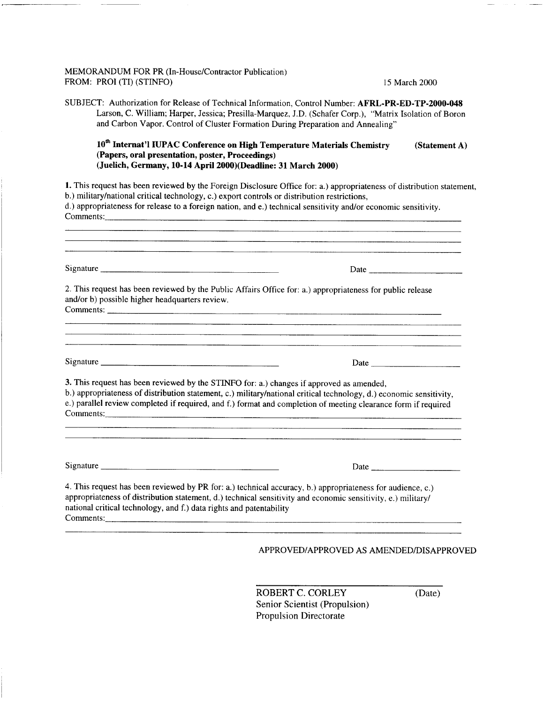## MEMORANDUM FOR PR (In-House/Contractor Publication) FROM: PROI (TI) (STINFO) 15 March 2000

SUBJECT: Authorization for Release of Technical Information, Control Number: **AFRL-PR-ED-TP-2000-048** Larson, C. William; Harper, Jessica; Presilla-Marquez, J.D. (Schäfer Corp.), "Matrix Isolation of Boron and Carbon Vapor. Control of Cluster Formation During Preparation and Annealing"

| 10 <sup>th</sup> Internat'l IUPAC Conference on High Temperature Materials Chemistry | (Statement A) |
|--------------------------------------------------------------------------------------|---------------|
| (Papers, oral presentation, poster, Proceedings)                                     |               |
| (Juelich, Germany, 10-14 April 2000)(Deadline: 31 March 2000)                        |               |

**1.** This request has been reviewed by the Foreign Disclosure Office for: a.) appropriateness of distribution statement, b.) military/national critical technology, c.) export controls or distribution restrictions, d.) appropriateness for release to a foreign nation, and e.) technical sensitivity and/or economic sensitivity. Comments:

|                                                                                          | Date $\frac{1}{\sqrt{1-\frac{1}{2}}\sqrt{1-\frac{1}{2}}\sqrt{1-\frac{1}{2}}\sqrt{1-\frac{1}{2}}\sqrt{1-\frac{1}{2}}}}$                                                                                                                |
|------------------------------------------------------------------------------------------|---------------------------------------------------------------------------------------------------------------------------------------------------------------------------------------------------------------------------------------|
| and/or b) possible higher headquarters review.                                           | 2. This request has been reviewed by the Public Affairs Office for: a.) appropriateness for public release                                                                                                                            |
|                                                                                          |                                                                                                                                                                                                                                       |
|                                                                                          |                                                                                                                                                                                                                                       |
| 3. This request has been reviewed by the STINFO for: a.) changes if approved as amended, | b.) appropriateness of distribution statement, c.) military/national critical technology, d.) economic sensitivity,<br>e.) parallel review completed if required, and f.) format and completion of meeting clearance form if required |
|                                                                                          |                                                                                                                                                                                                                                       |

ROBERT C. CORLEY (Date) Senior Scientist (Propulsion) Propulsion Directorate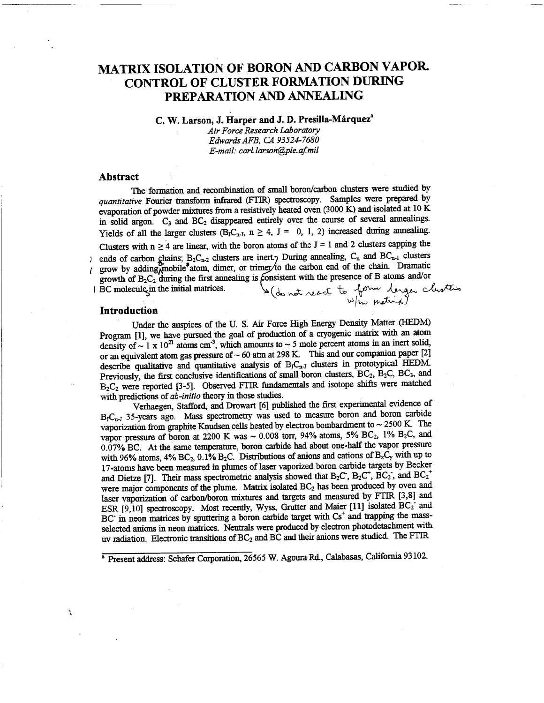## MATRIX ISOLATION OF BORON AND CARBON VAPOR. CONTROL OF CLUSTER FORMATION DURING PREPARATION AND ANNEALING

**C. W. Larson, J. Harper and J. D. Presilla-Marquez"**

*Air Force Research Laboratory EdwardsAFB, CA 93524-7680 E-mail: carl.larson@ple.qf.mil*

### **Abstract**

The formation and recombination of small boron/carbon clusters were studied by *quantitative* Fourier transform infrared (FTIR) spectroscopy. Samples were prepared by evaporation of powder mixtures from a resistively heated oven (3000 K) and isolated at  $10$  K in solid argon.  $C_3$  and  $BC_2$  disappeared entirely over the course of several annealings. Yields of all the larger clusters (B<sub>J</sub>C<sub>n-J</sub>, n  $\geq$  4, J = 0, 1, 2) increased during annealing. Clusters with  $n \geq 4$  are linear, with the boron atoms of the J = 1 and 2 clusters capping the ends of carbon chains;  $B_2C_{n-2}$  clusters are inert.) During annealing,  $C_n$  and  $BC_{n-1}$  clusters  $\mathbf{1}$ grow by adding<sub>A</sub>mobile<sup>®</sup>atom, dimer, or trimer/to the carbon end of the chain. Dramatic grow by adding monte atom, time, or times to the value of the sense of B atoms and/or<br>BC molecule in the initial matrices.

### **Introduction**

ì.

Under the auspices of the U. S. Air Force High Energy Density Matter (HEDM) Program [1], we have pursued the goal of production of a cryogenic matrix with an atom density of  $\sim 1 \times 10^{21}$  atoms cm<sup>-3</sup>, which amounts to  $\sim 5$  mole percent atoms in an inert solid, or an equivalent atom gas pressure of  $\sim 60$  atm at 298 K. This and our companion paper [2] describe qualitative and quantitative analysis of  $B_J C_{n-J}$  clusters in prototypical HEDM. Previously, the first conclusive identifications of small boron clusters,  $BC_2$ ,  $B_2C$ ,  $BC_3$ , and B2C<sup>2</sup> were reported [3-5]. Observed FTIR fundamentals and isotope shifts were matched with predictions of *ab-initio* theory in those studies.

Verhaegen, Stafford, and Drowart [6] published the first experimental evidence of  $B_1C_{n-1}$  35-years ago. Mass spectrometry was used to measure boron and boron carbide vaporization from graphite Knudsen cells heated by electron bombardment to  $\sim 2500$  K. The vapor pressure of boron at 2200 K was  $\sim 0.008$  torr, 94% atoms, 5% BC<sub>2</sub>, 1% B<sub>2</sub>C, and 0.07% BC. At the same temperature, boron carbide had about one-half the vapor pressure with 96% atoms, 4% BC<sub>2</sub>, 0.1% B<sub>2</sub>C. Distributions of anions and cations of B<sub>x</sub>C<sub>y</sub> with up to 17-atoms have been measured in plumes of laser vaporized boron carbide targets by Becker and Dietze [7]. Their mass spectrometric analysis showed that  $B_2C$ ,  $B_2C^{\dagger}$ ,  $BC_2$ , and  $BC_2$ were major components of the plume. Matrix isolated  $BC<sub>2</sub>$  has been produced by oven and laser vaporization of carbon/boron mixtures and targets and measured by FTIR [3,8] and ESR [9,10] spectroscopy. Most recently, Wyss, Grutter and Maier [11] isolated  $BC_2$  and  $BC<sup>+</sup>$  in neon matrices by sputtering a boron carbide target with  $Cs<sup>+</sup>$  and trapping the massselected anions in neon matrices. Neutrals were produced by electron photodetachment with uv radiation. Electronic transitions of  $BC_2$  and  $BC$  and their anions were studied. The FTIR

<sup>&</sup>lt;sup>a</sup> Present address: Schafer Corporation, 26565 W. Agoura Rd., Calabasas, California 93102.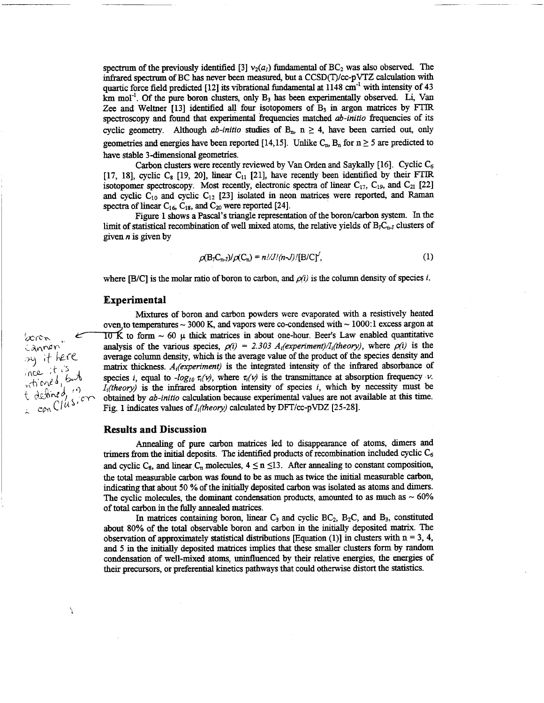spectrum of the previously identified [3]  $v_2(a_i)$  fundamental of BC<sub>2</sub> was also observed. The infrared spectrum ofBC has never been measured, but a CCSD(T)/cc-pVTZ calculation with quartic force field predicted [12] its vibrational fundamental at 1148  $cm^{-1}$  with intensity of 43 km mol<sup>-1</sup>. Of the pure boron clusters, only  $B_3$  has been experimentally observed. Li, Van Zee and Weltner  $[13]$  identified all four isotopomers of  $B_3$  in argon matrices by FTIR. spectroscopy and found that experimental frequencies matched *ab-initio* frequencies of its cyclic geometry. Although *ab-initio* studies of  $B_n$ ,  $n \geq 4$ , have been carried out, only geometries and energies have been reported [14,15]. Unlike  $C_{\text{m}}$ ,  $B_{\text{n}}$  for  $n \ge 5$  are predicted to have stable 3-dimensional geometries.

Carbon clusters were recently reviewed by Van Orden and Saykally [16]. Cyclic *C&* [17, 18], cyclic  $C_8$  [19, 20], linear  $C_{11}$  [21], have recently been identified by their FTIR isotopomer spectroscopy. Most recently, electronic spectra of linear  $C_{17}$ ,  $C_{19}$ , and  $C_{21}$  [22] and cyclic  $C_{10}$  and cyclic  $C_{12}$  [23] isolated in neon matrices were reported, and Raman spectra of linear  $C_{16}$ ,  $C_{18}$ , and  $C_{20}$  were reported [24].

Figure 1 shows a Pascal's triangle representation of the boron/carbon system. In the limit of statistical recombination of well mixed atoms, the relative yields of  $B<sub>j</sub>C<sub>n-J</sub>$  clusters of given *n* is given by

$$
\rho(\mathbf{B}_J \mathbf{C}_{n-J})/\rho(\mathbf{C}_n) = n!/\mathcal{J}/(n-1)/[\mathbf{B}/\mathbf{C}]^J,
$$
\n(1)

where [B/C] is the molar ratio of boron to carbon, and  $\rho(i)$  is the column density of species *i*.

### **Experimental**

Mixtures of boron and carbon powders were evaporated with a resistively heated oven to temperatures  $\sim$  3000 K, and vapors were co-condensed with  $\sim$  1000:1 excess argon at  $\&$  TDK to form ~ 60  $\mu$  thick matrices in about one-hour. Beer's Law enabled quantitative  $\therefore$  analysis of the various species,  $\rho(i) = 2.303$   $A_i(experiment)/I_i(heory)$ , where  $\rho(i)$  is the average column density, which is the average value of the product of the species density and average column density, which is the average value of the product of the species density and matrix thickness. *A<sub>i</sub>*(experiment) is the integrated intensity of the infrared absorbance of species *i*, equal to *-log<sub>10</sub>*  $\tau_i(v)$ , where  $\tau_i(v)$  is the transmittance at absorption frequency *v*.  $I_i$ (theory) is the infrared absorption intensity of species  $i$ , which by necessity must be obtained by *ab-initio* calculation because experimental values are not available at this time. Fig. 1 indicates values of *I<sub>i</sub>(theory)* calculated by DFT/cc-pVDZ [25-28].

### **Results and Discussion**

Annealing of pure carbon matrices led to disappearance of atoms, dimers and trimers from the initial deposits. The identified products of recombination included cyclic  $C_6$ and cyclic C<sub>8</sub>, and linear C<sub>n</sub> molecules,  $4 \le n \le 13$ . After annealing to constant composition, the total measurable carbon was found to be as much as twice the initial measurable carbon, indicating that about 50 % of the initially deposited carbon was isolated as atoms and dimers. The cyclic molecules, the dominant condensation products, amounted to as much as  $\sim 60\%$ of total carbon in the fully annealed matrices.

In matrices containing boron, linear  $C_3$  and cyclic  $BC_2$ ,  $B_2C$ , and  $B_3$ , constituted about 80% of the total observable boron and carbon in the initially deposited matrix. The observation of approximately statistical distributions [Equation (1)] in clusters with  $n = 3$ , 4, and 5 in the initially deposited matrices implies that these smaller clusters form by random condensation of well-mixed atoms, uninfluenced by their relative energies, the energies of their precursors, or preferential kinetics pathways that could otherwise distort the statistics.

^ *con O u*

À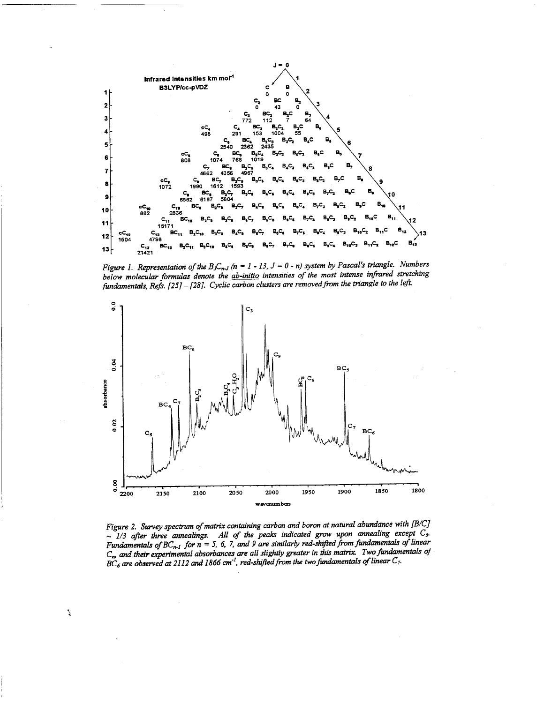

Figure 1. Representation of the B<sub>J</sub>C<sub>n-J</sub> ( $n = 1 - 13$ ,  $J = 0 - n$ ) system by Pascal's triangle. Numbers *below molecular formulas denote the ab-initio intensities of the most intense infrared stretching fundamentals, Refs. [25]-[28J. Cyclic carbon clusters are removedfrom the triangle to the left*



*Figure 2. Survey spectrum ofmatrix containing carbon and boron at natural abundance with ß/C] ~ 1/3 after three annealings. All of the peaks indicated grow upon annealing except C3. Fundamentals* of  $BC_{n-1}$  *for*  $n = 5$ , 6, 7, and 9 are similarly red-shifted from fundamentals of linear *C<sup>m</sup> and their experimental absorbances are all slightly greater in this matrix. Twofundamentals of BC<sup>6</sup> are observed at 2112 and 1866 cm'<sup>1</sup> , red-shiftedfrom the twofundamentals oflinear C7.*

 $\hat{\mathbf{r}}$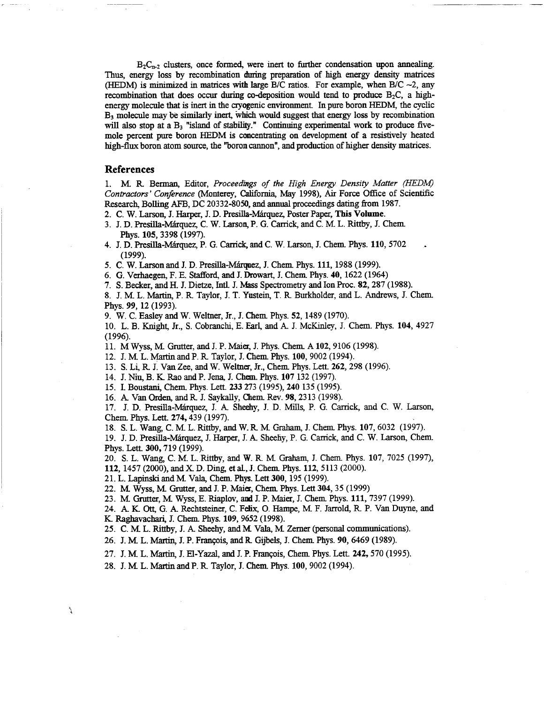$B_2C_{n-2}$  clusters, once formed, were inert to further condensation upon annealing. Thus, energy loss by recombination during preparation of high energy density matrices (HEDM) is minimized in matrices with large B/C ratios. For example, when B/C  $\sim$ 2, any recombination that does occur during co-deposition would tend to produce  $B_2C$ , a highenergy molecule that is inert in the cryogenic environment In pure boron HEDM, the cyclic B<sup>3</sup> molecule may be similarly inert, which would suggest that energy loss by recombination will also stop at a  $B_3$  "island of stability." Continuing experimental work to produce fivemole percent pure boron HEDM is concentrating on development of a resistively heated high-flux boron atom source, the "boron cannon", and production of higher density matrices.

### **References**

Î,

1. MR. Berman, Editor, *Proceedings of the High Energy Density Matter (HEDM) Contractors' Conference* (Monterey, California, May 1998), Air Force Office of Scientific Research, Boiling AFB, DC 20332-8050, and annual proceedings daring from 1987.

2. C. W. Larson, J. Harper, J. D. Presilla-Marquez, Poster Paper, **This Volume.**

- 3. J. D. Presilla-Marquez, C. W. Larson, P. G. Carrick and C. M L. Rittby, J. Chem Phys. **105,** 3398 (1997).
- 4. J. D. Presilla-Marquez, P. G. Carrick, and C. W. Larson, J. Chem Phys. **110,**5702 (1999).

5. C. W. Larson and J. D. Presffla-Marguez, J. Chem Phys. **Ill,** 1988 (1999).

6. G. Verhaegen, F. E. Stafford, and J. Drowart, J. Chem Phys. 40, 1622 (1964)

7. S. Becker, and H. J. Dietze, Intl. J. Mass Spectrometry and Ion Proc. 82, 287 (1988).

8. J. M L. Martin, P. R Taylor, J. T. Yustein, T. R Burkholder, and L. Andrews, J. Chem Phys. *99,* 12 (1993).

9. W. C. Easley and W. Weltner, Jr., J. Chem Phys. 52,1489 (1970).

10. L. B. Knight, Jr., S. Cobranchi, E. Earl, and A. J. McKinley, J. Chem. Phys. 104, 4927 (1996).

11. M Wyss, M Grutter, and J. P. Maier, J. Phys. Chem A102, 9106 (1998).

12. J. M L. Martin and P. R Taylor, J. Chem Phys. 100, 9002 (1994).

13. S. Li, R J. Van Zee, and W. Weltner, Jr., Chem Phys. Lett. 262,298 (1996).

14. J. Niu, B. K Rao and P. Jena, J. Chem Phys. 107 <sup>132</sup> (1997).

15. I. Boustani, Chem. Phys. Lett. 233 273 (1995), 240 135 (1995).

16. *A.* Van Orden, andR J. Saykally, Chem Rev. 98,2313 (1998).

17. J. D. Presilla-Marquez, J. A Sheehy, J. D. Mills, P. G. Carrick, and C. W. Larson, Chem Phys. Lett. **274,**439 (1997).

18. S. L. Wang, C. M L. Rittby, and W. R M Graham, J. Chem Phys. 107, 6032 (1997).

19. J. D. Presilla-Marquez, J. Harper, J. A Sheehy, P. G. Carrick and C. W. Larson, Chem Phys. Lett. **300,**719 (1999).

20. S. L. Wang, C. M. L. Rittby, and W. R. M. Graham, J. Chem. Phys. 107, 7025 (1997),

**112,** 1457 (2000), and X D. Ding, et aL, J. Chem Phys. 112, 5113 (2000).

21. L. Lapinski and M Vala, Chem Phys. Lett 300,195 (1999).

22. M Wyss, M Grutter, and J. P. Maier, Chem Phys. Lett 304, 35 (1999)

23. M Grutter, M Wyss, E. Riaplov, and J. P. Maier, J. Chem Phys. **Ill,** <sup>7397</sup> (1999).

24. A. K. Ott, G. A. Rechtsteiner, C. Felix, O. Hampe, M F. Jarrold, R P. Van Duyne, and K. Raghavachari, J. Chem Phys. **109,** 9652 (1998).

25. C. M L. Rittby, J. A Sheehy, and M Vala, M Zemer (personal communications).

26. J. M. L. Martin, J. P. François, and R. Gijbels, J. Chem. Phys. 90, 6469 (1989).

27. J. M L. Martin, J. H-Yazal, and J. P. Francois, Chem Phys. Lett. **242,**570 (1995).

28. J. M L. Martin and P. R Taylor, J. Chem Phys. 100, 9002 (1994).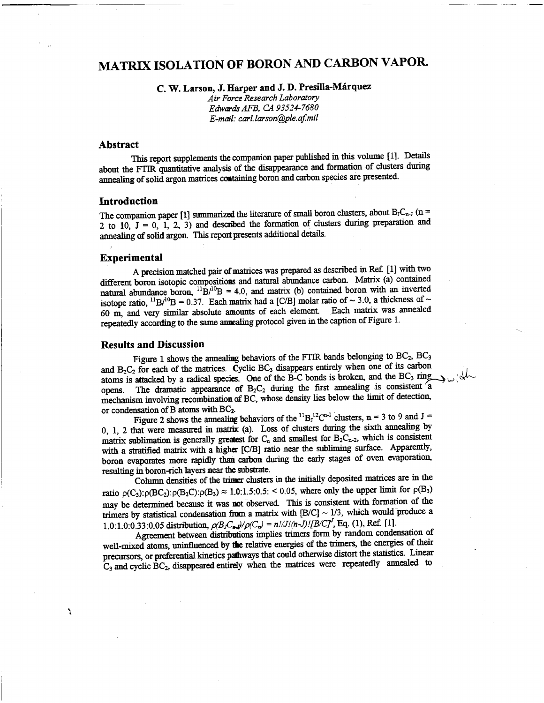# MATRIX ISOLATION OF BORON AND CARBON VAPOR.

**C. W. Larson, J. Harper and J. D. Presilla-Märquez**

*Air Force Research Laboratory EdwardsAFB, CA 93524-7680 E-mail: carl.larson@ple.af.mil*

### **Abstract**

This report supplements the companion paper published in this volume [1]. Details about the FÜR quantitative analysis of the disappearance and formation of clusters during annealing of solid argon matrices containing boron and carbon species are presented.

### **Introduction**

The companion paper [1] summarized the literature of small boron clusters, about  $B_1C_{n-1}$  (n = 2 to 10, J = 0, 1, 2, 3) and described the formation of clusters during preparation and annealing of solid argon. This report presents additional details.

### **Experimental**

 $\frac{1}{2}$ 

A precision matched pair of matrices was prepared as described in Ref. [1] with two different boron isotopic compositions and natural abundance carbon. Matrix (a) contained natural abundance boron,  ${}^{11}B/{}^{10}B = 4.0$ , and matrix (b) contained boron with an inverted isotope ratio,  $^{11}B/^{10}B = 0.37$ . Each matrix had a [C/B] molar ratio of ~ 3.0, a thickness of ~ 60 m, and very similar absolute amounts of each element Each matrix was annealed repeatedly according to the same annealing protocol given in the caption of Figure 1.

### **Results and Discussion**

Figure 1 shows the annealing behaviors of the FTIR bands belonging to BC<sub>2</sub>, BC<sub>3</sub> and  $B_2C_2$  for each of the matrices. Cyclic BC<sub>3</sub> disappears entirely when one of its carbon atoms is attacked by a radical species. One of the B-C bonds is broken, and the BC<sub>3</sub> ring<sub>13</sub> ( $\frac{1}{2}$ opens. The dramatic appearance of  $B_2C_2$  during the first annealing is consistent a mechanism involving recombination of BC, whose density lies below the limit of detection,

or condensation of B atoms with BC<sub>2</sub>.<br>Figure 2 shows the annealing behaviors of the <sup>11</sup>B<sub>1</sub><sup>12</sup>C<sup>n-1</sup> clusters, n = 3 to 9 and J = <sup>1</sup> clusters,  $n = 3$  to 9 and  $J =$ 0, 1, 2 that were measured in matrix (a). Loss of clusters during the sixth annealing by matrix sublimation is generally greatest for  $C_n$  and smallest for  $B_2C_{n-2}$ , which is consistent with a stratified matrix with a higher [C/B] ratio near the subliming surface. Apparently, boron evaporates more rapidly than carbon during the early stages of oven evaporation, resulting in boron-rich layers near the substrate.

Column densities of the trimer clusters in the initially deposited matrices are in the ratio  $\rho(C_3): \rho(BC_2): \rho(B_2C): \rho(B_3) \approx 1.0:1.5:0.5: 0.05$ , where only the upper limit for  $\rho(B_3)$ may be determined because it was not observed. This is consistent with formation of the trimers by statistical condensation from a matrix with  $[B/C] \sim 1/3$ , which would produce a 1.0:1.0:0.33:0.05 distribution,  $\rho(B_1C_p)/\rho(C_p) = n!/J!/(n-J)!/B/Cf'$ , Eq. (1), Ref. [1].

Agreement between distributions implies trimers form by random condensation of well-mixed atoms, uninfluenced by the relative energies of the trimers, the energies of their precursors, or preferential kinetics pathways that could otherwise distort the statistics. Linear  $C_3$  and cyclic  $\overline{BC}_2$ , disappeared entirely when the matrices were repeatedly annealed to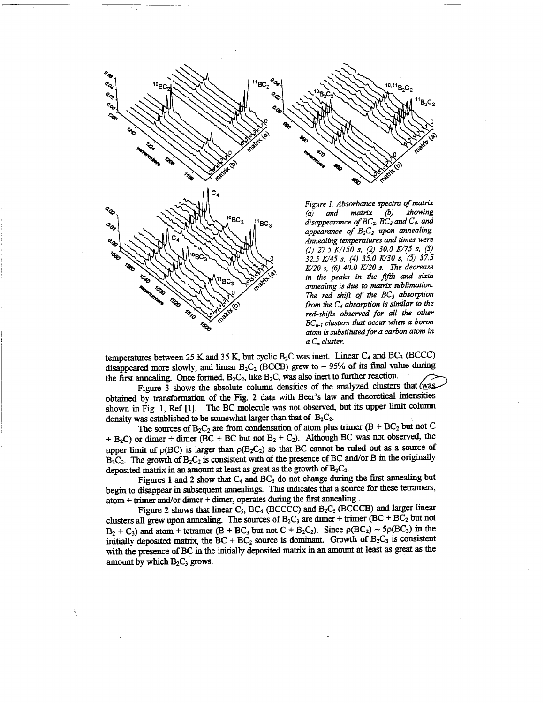

1570

**TED** 

*(a) and matrix (b) showing disappearance ofBC^, BC3 and C4, and appearance of B£.<sup>2</sup> upon annealing. Annealing temperatures and times were (1) 27.5 K/150 s, (2) 30.0 K/75 s, (3) 32.5 K/45 s, (4) 35.0 K/30 s, (5) 37.5 K/20 s, (6) 40.0 K/20 s. The decrease in the peaks in the fifth and sixth annealing is due to matrix sublimation. The red shift of the BC<sup>3</sup> absorption from the Ct absorption is similar to the red-shifts observed for all the other BCn.i clusters that occur when a boron atom is substitutedfor a carbon atom in*  $a C_n$  *cluster.* 

 $^{\rm 11}$ B2C2

temperatures between 25 K and 35 K, but cyclic  $B_2C$  was inert. Linear  $C_4$  and  $BC_3$  (BCCC) disappeared more slowly, and linear  $B_2C_2$  (BCCB) grew to ~ 95% of its final value during the first annealing. Once formed,  $B_2C_2$ , like  $B_2C$ , was also inert to further reaction.

Figure 3 shows the absolute column densities of the analyzed clusters that  $\frac{\text{w}a}{\text{s}}$ obtained by transformation of the Fig. 2 data with Beer's law and theoretical intensities shown in Fig. 1, Ref [1]. The BC molecule was not observed, but its upper limit column density was established to be somewhat larger than that of  $B_2C_2$ .

The sources of  $B_2C_2$  are from condensation of atom plus trimer (B + BC<sub>2</sub> but not C  $+$  B<sub>2</sub>C) or dimer + dimer (BC + BC but not B<sub>2</sub> + C<sub>2</sub>). Although BC was not observed, the upper limit of  $p(BC)$  is larger than  $p(B_2C_2)$  so that BC cannot be ruled out as a source of  $B_2C_2$ . The growth of  $B_2C_2$  is consistent with of the presence of BC and/or B in the originally deposited matrix in an amount at least as great as the growth of  $B_2C_2$ .

Figures 1 and 2 show that  $C_4$  and  $BC_3$  do not change during the first annealing but begin to disappear in subsequent annealings. This indicates that a source for these tetramers, atom + trimer and/or dimer + dimer, operates during the first annealing.

Figure 2 shows that linear C<sub>5</sub>, BC<sub>4</sub> (BCCCC) and B<sub>2</sub>C<sub>3</sub> (BCCCB) and larger linear clusters all grew upon annealing. The sources of  $B_2C_3$  are dimer + trimer (BC + BC<sub>2</sub> but not  $B_2 + C_3$ ) and atom + tetramer (B + BC<sub>3</sub> but not C + B<sub>2</sub>C<sub>2</sub>). Since  $\rho(BC_2) \sim 5\rho(BC_3)$  in the initially deposited matrix, the  $BC + BC_2$  source is dominant. Growth of  $B_2C_3$  is consistent with the presence of BC in the initially deposited matrix in an amount at least as great as the amount by which  $B_2C_3$  grows.

à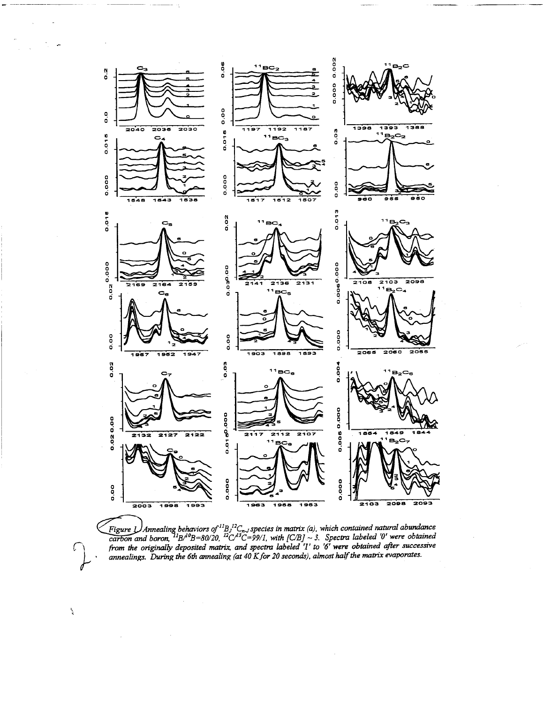

*Figurel)Annealing behaviors ofn Bj<sup>12</sup>C"jspecies in matrix (a), -which contained natural abundance* carbon and boron,  ${}^{11}B^{A0}B=80/20$ ,  ${}^{12}C^{A3}C=99/1$ , with  $[C/B] \sim 3$ . Spectra labeled '0' were obtained from the originally deposited matrix, and spectra labeled '1' to '6' were obtained after successive *annealings. During the 6lh annealing (at 40 Kfor 20 seconds), almost halfthe matrix evaporates.*

 $\frac{1}{3}$ 

**o**

ď